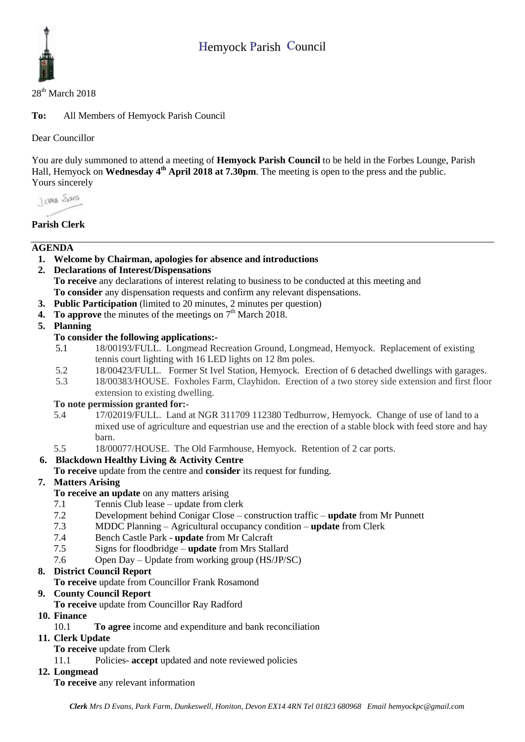

#### 28<sup>th</sup> March 2018

**To:** All Members of Hemyock Parish Council

Dear Councillor

You are duly summoned to attend a meeting of **Hemyock Parish Council** to be held in the Forbes Lounge, Parish Hall, Hemyock on **Wednesday** 4<sup>th</sup> **April** 2018 at 7.30pm. The meeting is open to the press and the public. Yours sincerely

I awa Shans

# **Parish Clerk**

# **AGENDA**

- **1. Welcome by Chairman, apologies for absence and introductions**
- **2. Declarations of Interest/Dispensations To receive** any declarations of interest relating to business to be conducted at this meeting and **To consider** any dispensation requests and confirm any relevant dispensations.
- **3. Public Participation** (limited to 20 minutes, 2 minutes per question)
- **4.** To approve the minutes of the meetings on  $7<sup>th</sup>$  March 2018.

# **5. Planning**

# **To consider the following applications:-**

- 5.1 18/00193/FULL. Longmead Recreation Ground, Longmead, Hemyock. Replacement of existing tennis court lighting with 16 LED lights on 12 8m poles.
- 5.2 18/00423/FULL. Former St Ivel Station, Hemyock. Erection of 6 detached dwellings with garages.
- 5.3 18/00383/HOUSE. Foxholes Farm, Clayhidon. Erection of a two storey side extension and first floor extension to existing dwelling.

#### **To note permission granted for:-**

- 5.4 17/02019/FULL. Land at NGR 311709 112380 Tedburrow, Hemyock. Change of use of land to a mixed use of agriculture and equestrian use and the erection of a stable block with feed store and hay barn.
- 5.5 18/00077/HOUSE. The Old Farmhouse, Hemyock. Retention of 2 car ports.

# **6. Blackdown Healthy Living & Activity Centre**

**To receive** update from the centre and **consider** its request for funding.

# **7. Matters Arising**

#### **To receive an update** on any matters arising

- 7.1 Tennis Club lease update from clerk
- 7.2 Development behind Conigar Close construction traffic **update** from Mr Punnett
- 7.3 MDDC Planning Agricultural occupancy condition **update** from Clerk
- 7.4 Bench Castle Park **update** from Mr Calcraft
- 7.5 Signs for floodbridge **update** from Mrs Stallard
- 7.6 Open Day Update from working group (HS/JP/SC)

# **8. District Council Report**

**To receive** update from Councillor Frank Rosamond

# **9. County Council Report**

**To receive** update from Councillor Ray Radford

#### **10. Finance**

10.1 **To agree** income and expenditure and bank reconciliation

#### **11. Clerk Update**

- **To receive** update from Clerk
- 11.1 Policies- **accept** updated and note reviewed policies

# **12. Longmead**

**To receive** any relevant information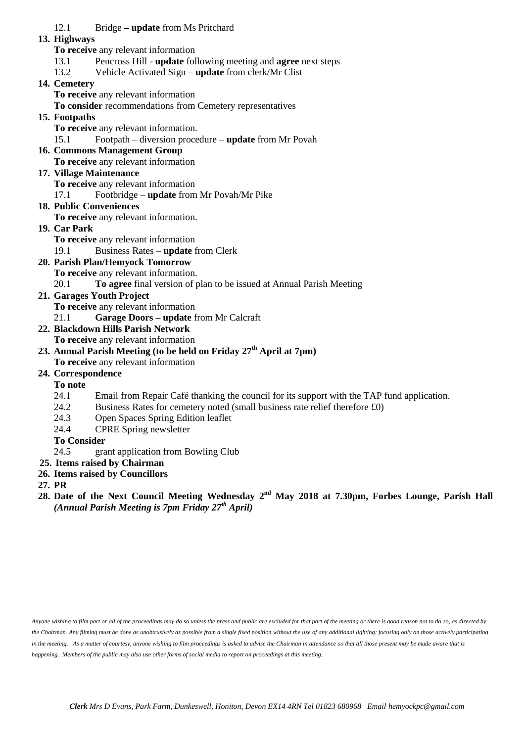#### 12.1 Bridge **– update** from Ms Pritchard

#### **13. Highways**

**To receive** any relevant information

- 13.1 Pencross Hill **update** following meeting and **agree** next steps
- 13.2 Vehicle Activated Sign **update** from clerk/Mr Clist

#### **14. Cemetery**

**To receive** any relevant information

**To consider** recommendations from Cemetery representatives

#### **15. Footpaths**

**To receive** any relevant information.

- 15.1 Footpath diversion procedure **update** from Mr Povah
- **16. Commons Management Group**
	- **To receive** any relevant information

# **17. Village Maintenance**

**To receive** any relevant information

17.1 Footbridge – **update** from Mr Povah/Mr Pike

#### **18. Public Conveniences**

**To receive** any relevant information.

#### **19. Car Park**

**To receive** any relevant information

19.1 Business Rates – **update** from Clerk

# **20. Parish Plan/Hemyock Tomorrow**

**To receive** any relevant information.

20.1 **To agree** final version of plan to be issued at Annual Parish Meeting

- **21. Garages Youth Project** 
	- **To receive** any relevant information
	- 21.1 **Garage Doors – update** from Mr Calcraft
- **22. Blackdown Hills Parish Network**
	- **To receive** any relevant information

# **23. Annual Parish Meeting (to be held on Friday 27th April at 7pm)**

**To receive** any relevant information

# **24. Correspondence**

**To note**

- 24.1 Email from Repair Café thanking the council for its support with the TAP fund application.
- 24.2 Business Rates for cemetery noted (small business rate relief therefore £0)
- 24.3 Open Spaces Spring Edition leaflet
- 24.4 CPRE Spring newsletter

# **To Consider**

- 24.5 grant application from Bowling Club
- **25. Items raised by Chairman**
- **26. Items raised by Councillors**
- **27. PR**
- 28. Date of the Next Council Meeting Wednesday 2<sup>nd</sup> May 2018 at 7.30pm, Forbes Lounge, Parish Hall *(Annual Parish Meeting is 7pm Friday 27th April)*

*Anyone wishing to film part or all of the proceedings may do so unless the press and public are excluded for that part of the meeting or there is good reason not to do so, as directed by the Chairman. Any filming must be done as unobtrusively as possible from a single fixed position without the use of any additional lighting; focusing only on those actively participating in the meeting. As a matter of courtesy, anyone wishing to film proceedings is asked to advise the Chairman in attendance so that all those present may be made aware that is happening. Members of the public may also use other forms of social media to report on proceedings at this meeting.*